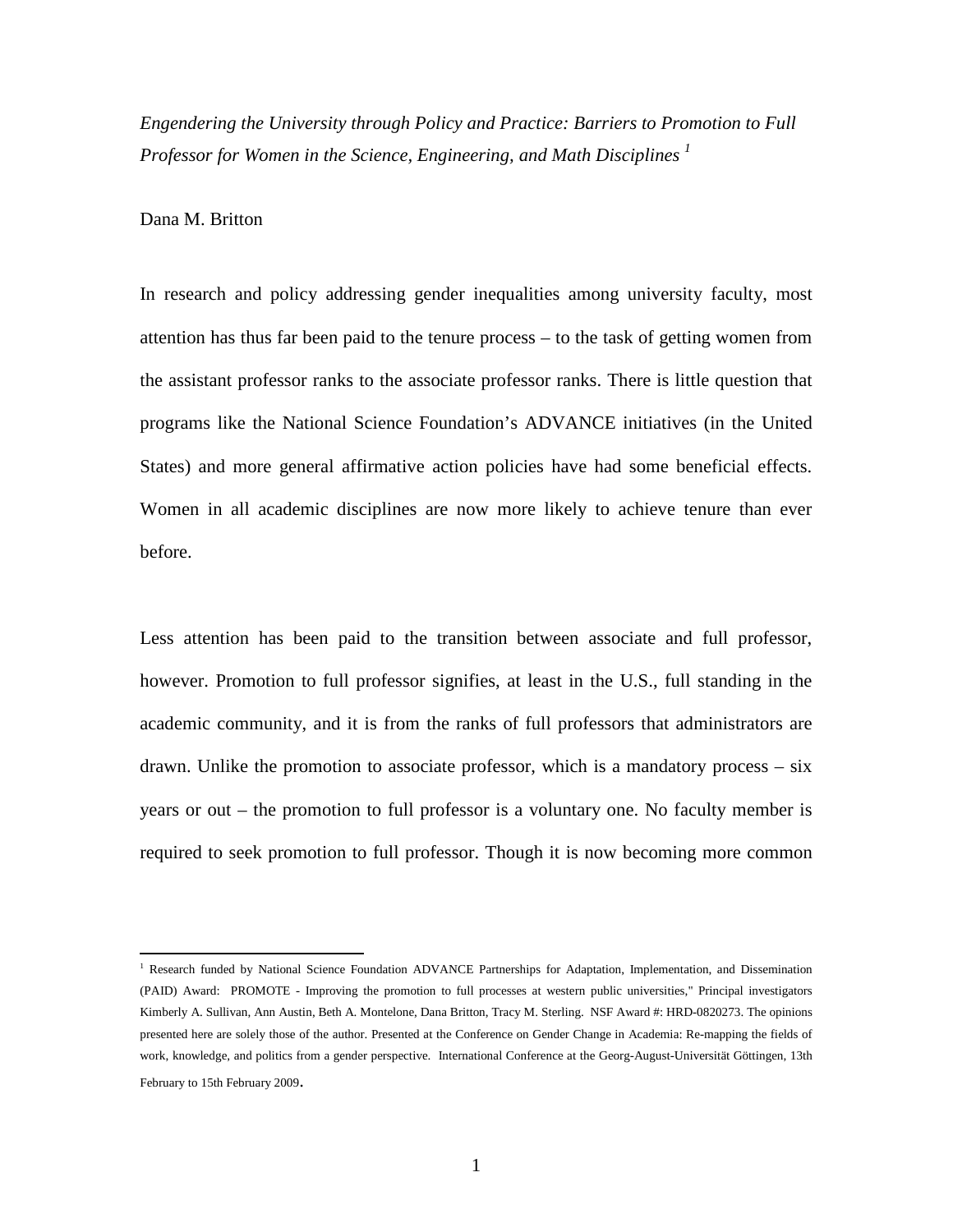*Engendering the University through Policy and Practice: Barriers to Promotion to Full Professor for Women in the Science, Engineering, and Math Disciplines <sup>1</sup>*

#### Dana M. Britton

 $\overline{a}$ 

In research and policy addressing gender inequalities among university faculty, most attention has thus far been paid to the tenure process – to the task of getting women from the assistant professor ranks to the associate professor ranks. There is little question that programs like the National Science Foundation's ADVANCE initiatives (in the United States) and more general affirmative action policies have had some beneficial effects. Women in all academic disciplines are now more likely to achieve tenure than ever before.

Less attention has been paid to the transition between associate and full professor, however. Promotion to full professor signifies, at least in the U.S., full standing in the academic community, and it is from the ranks of full professors that administrators are drawn. Unlike the promotion to associate professor, which is a mandatory process – six years or out – the promotion to full professor is a voluntary one. No faculty member is required to seek promotion to full professor. Though it is now becoming more common

<sup>&</sup>lt;sup>1</sup> Research funded by National Science Foundation ADVANCE Partnerships for Adaptation, Implementation, and Dissemination (PAID) Award: PROMOTE - Improving the promotion to full processes at western public universities," Principal investigators Kimberly A. Sullivan, Ann Austin, Beth A. Montelone, Dana Britton, Tracy M. Sterling. NSF Award #: HRD-0820273. The opinions presented here are solely those of the author. Presented at the Conference on Gender Change in Academia: Re-mapping the fields of work, knowledge, and politics from a gender perspective. International Conference at the Georg-August-Universität Göttingen, 13th February to 15th February 2009.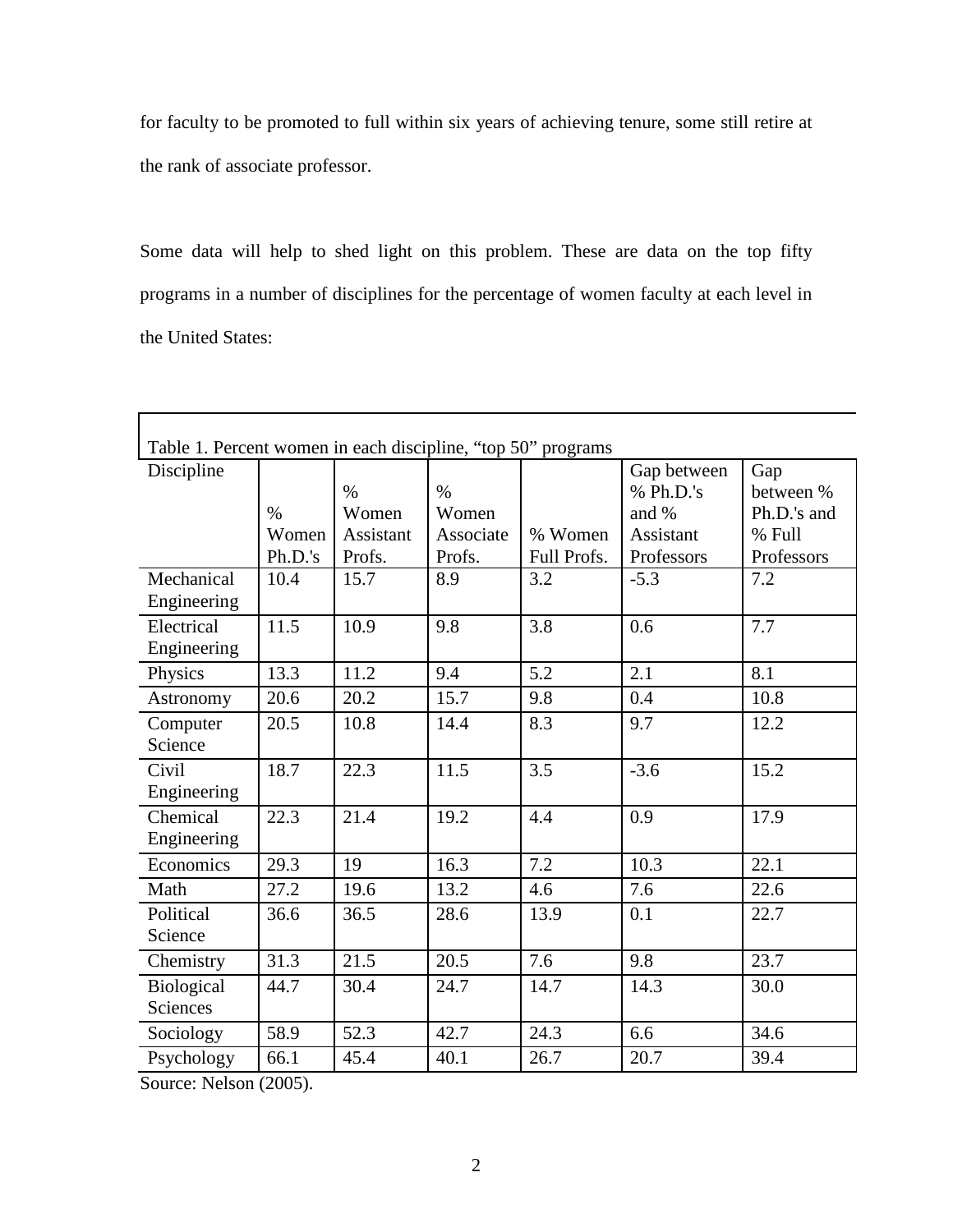for faculty to be promoted to full within six years of achieving tenure, some still retire at the rank of associate professor.

Some data will help to shed light on this problem. These are data on the top fifty programs in a number of disciplines for the percentage of women faculty at each level in the United States:

| Table 1. Percent women in each discipline, "top 50" programs |         |               |               |                  |                          |                  |  |
|--------------------------------------------------------------|---------|---------------|---------------|------------------|--------------------------|------------------|--|
| Discipline                                                   |         | $\frac{0}{0}$ | $\frac{0}{0}$ |                  | Gap between<br>% Ph.D.'s | Gap<br>between % |  |
|                                                              | $\%$    | Women         | Women         |                  | and %                    | Ph.D.'s and      |  |
|                                                              | Women   | Assistant     | Associate     | % Women          | Assistant                | % Full           |  |
|                                                              | Ph.D.'s | Profs.        | Profs.        | Full Profs.      | Professors               | Professors       |  |
| Mechanical<br>Engineering                                    | 10.4    | 15.7          | 8.9           | 3.2              | $-5.3$                   | 7.2              |  |
| Electrical<br>Engineering                                    | 11.5    | 10.9          | 9.8           | 3.8              | 0.6                      | 7.7              |  |
| Physics                                                      | 13.3    | 11.2          | 9.4           | $\overline{5.2}$ | 2.1                      | $\overline{8.1}$ |  |
| Astronomy                                                    | 20.6    | 20.2          | 15.7          | 9.8              | 0.4                      | 10.8             |  |
| Computer<br>Science                                          | 20.5    | 10.8          | 14.4          | 8.3              | 9.7                      | 12.2             |  |
| Civil<br>Engineering                                         | 18.7    | 22.3          | 11.5          | 3.5              | $-3.6$                   | 15.2             |  |
| Chemical<br>Engineering                                      | 22.3    | 21.4          | 19.2          | 4.4              | 0.9                      | 17.9             |  |
| Economics                                                    | 29.3    | 19            | 16.3          | 7.2              | 10.3                     | 22.1             |  |
| Math                                                         | 27.2    | 19.6          | 13.2          | 4.6              | 7.6                      | 22.6             |  |
| Political<br>Science                                         | 36.6    | 36.5          | 28.6          | 13.9             | 0.1                      | 22.7             |  |
| Chemistry                                                    | 31.3    | 21.5          | 20.5          | 7.6              | 9.8                      | 23.7             |  |
| Biological<br>Sciences                                       | 44.7    | 30.4          | 24.7          | 14.7             | 14.3                     | 30.0             |  |
| Sociology                                                    | 58.9    | 52.3          | 42.7          | 24.3             | 6.6                      | 34.6             |  |
| Psychology                                                   | 66.1    | 45.4          | 40.1          | 26.7             | 20.7                     | 39.4             |  |

Source: Nelson (2005).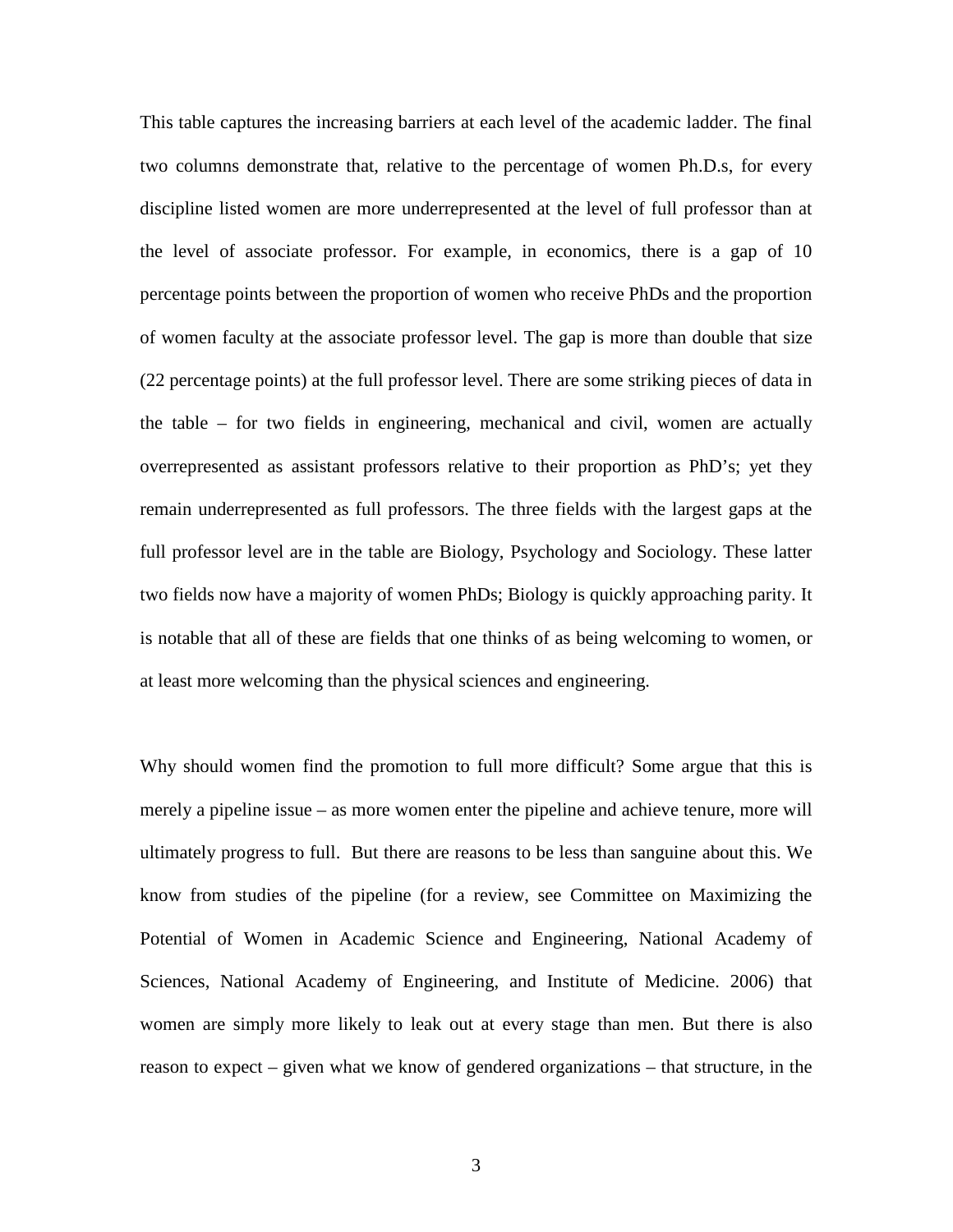This table captures the increasing barriers at each level of the academic ladder. The final two columns demonstrate that, relative to the percentage of women Ph.D.s, for every discipline listed women are more underrepresented at the level of full professor than at the level of associate professor. For example, in economics, there is a gap of 10 percentage points between the proportion of women who receive PhDs and the proportion of women faculty at the associate professor level. The gap is more than double that size (22 percentage points) at the full professor level. There are some striking pieces of data in the table – for two fields in engineering, mechanical and civil, women are actually overrepresented as assistant professors relative to their proportion as PhD's; yet they remain underrepresented as full professors. The three fields with the largest gaps at the full professor level are in the table are Biology, Psychology and Sociology. These latter two fields now have a majority of women PhDs; Biology is quickly approaching parity. It is notable that all of these are fields that one thinks of as being welcoming to women, or at least more welcoming than the physical sciences and engineering.

Why should women find the promotion to full more difficult? Some argue that this is merely a pipeline issue – as more women enter the pipeline and achieve tenure, more will ultimately progress to full. But there are reasons to be less than sanguine about this. We know from studies of the pipeline (for a review, see Committee on Maximizing the Potential of Women in Academic Science and Engineering, National Academy of Sciences, National Academy of Engineering, and Institute of Medicine. 2006) that women are simply more likely to leak out at every stage than men. But there is also reason to expect – given what we know of gendered organizations – that structure, in the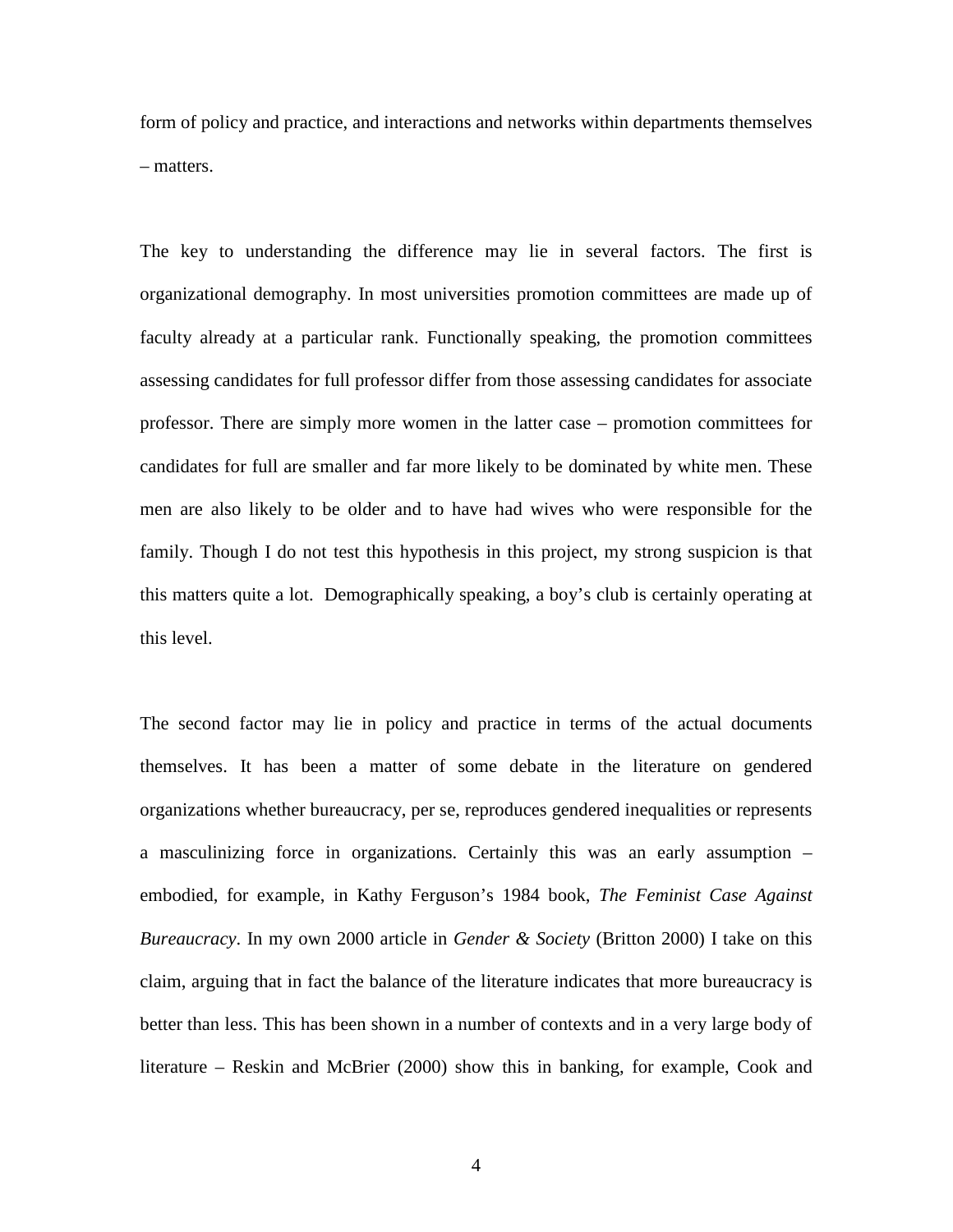form of policy and practice, and interactions and networks within departments themselves – matters.

The key to understanding the difference may lie in several factors. The first is organizational demography. In most universities promotion committees are made up of faculty already at a particular rank. Functionally speaking, the promotion committees assessing candidates for full professor differ from those assessing candidates for associate professor. There are simply more women in the latter case – promotion committees for candidates for full are smaller and far more likely to be dominated by white men. These men are also likely to be older and to have had wives who were responsible for the family. Though I do not test this hypothesis in this project, my strong suspicion is that this matters quite a lot. Demographically speaking, a boy's club is certainly operating at this level.

The second factor may lie in policy and practice in terms of the actual documents themselves. It has been a matter of some debate in the literature on gendered organizations whether bureaucracy, per se, reproduces gendered inequalities or represents a masculinizing force in organizations. Certainly this was an early assumption – embodied, for example, in Kathy Ferguson's 1984 book, *The Feminist Case Against Bureaucracy*. In my own 2000 article in *Gender & Society* (Britton 2000) I take on this claim, arguing that in fact the balance of the literature indicates that more bureaucracy is better than less. This has been shown in a number of contexts and in a very large body of literature – Reskin and McBrier (2000) show this in banking, for example, Cook and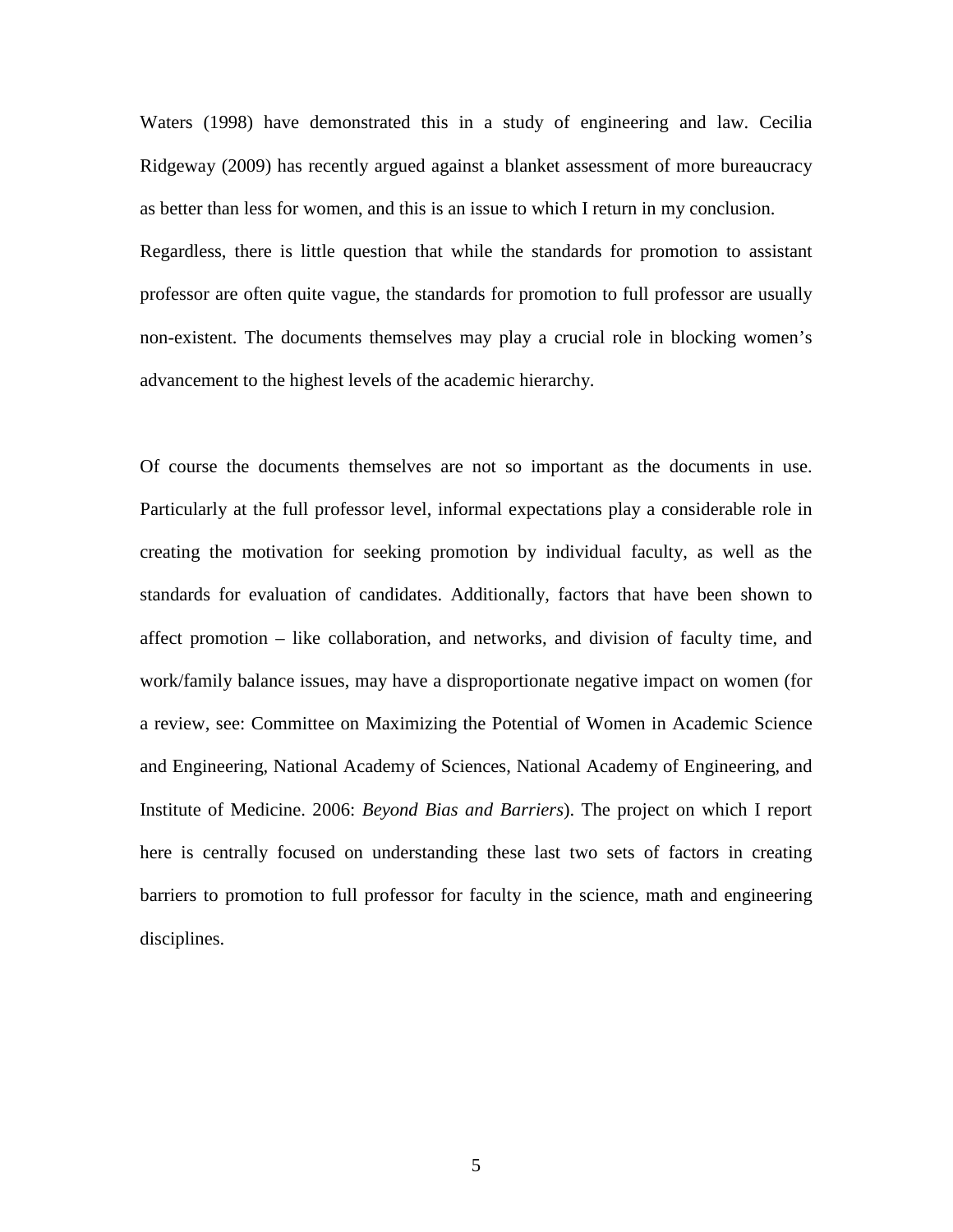Waters (1998) have demonstrated this in a study of engineering and law. Cecilia Ridgeway (2009) has recently argued against a blanket assessment of more bureaucracy as better than less for women, and this is an issue to which I return in my conclusion. Regardless, there is little question that while the standards for promotion to assistant professor are often quite vague, the standards for promotion to full professor are usually non-existent. The documents themselves may play a crucial role in blocking women's advancement to the highest levels of the academic hierarchy.

Of course the documents themselves are not so important as the documents in use. Particularly at the full professor level, informal expectations play a considerable role in creating the motivation for seeking promotion by individual faculty, as well as the standards for evaluation of candidates. Additionally, factors that have been shown to affect promotion – like collaboration, and networks, and division of faculty time, and work/family balance issues, may have a disproportionate negative impact on women (for a review, see: Committee on Maximizing the Potential of Women in Academic Science and Engineering, National Academy of Sciences, National Academy of Engineering, and Institute of Medicine. 2006: *Beyond Bias and Barriers*). The project on which I report here is centrally focused on understanding these last two sets of factors in creating barriers to promotion to full professor for faculty in the science, math and engineering disciplines.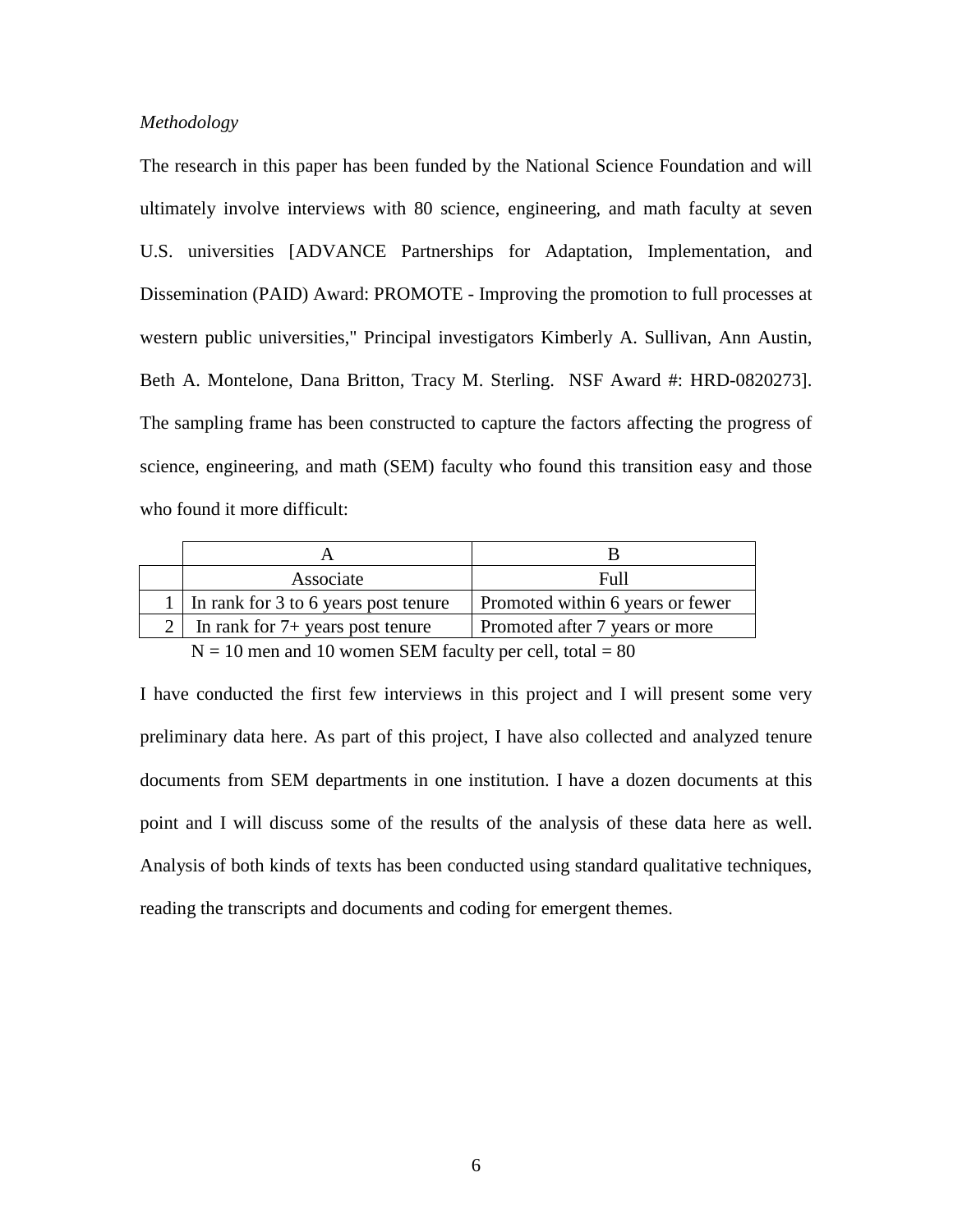#### *Methodology*

The research in this paper has been funded by the National Science Foundation and will ultimately involve interviews with 80 science, engineering, and math faculty at seven U.S. universities [ADVANCE Partnerships for Adaptation, Implementation, and Dissemination (PAID) Award: PROMOTE - Improving the promotion to full processes at western public universities," Principal investigators Kimberly A. Sullivan, Ann Austin, Beth A. Montelone, Dana Britton, Tracy M. Sterling. NSF Award #: HRD-0820273]. The sampling frame has been constructed to capture the factors affecting the progress of science, engineering, and math (SEM) faculty who found this transition easy and those who found it more difficult:

|                                                                                                         | Associate                                | Full                             |  |  |  |
|---------------------------------------------------------------------------------------------------------|------------------------------------------|----------------------------------|--|--|--|
|                                                                                                         | 1   In rank for 3 to 6 years post tenure | Promoted within 6 years or fewer |  |  |  |
|                                                                                                         | In rank for $7+$ years post tenure       | Promoted after 7 years or more   |  |  |  |
| $\mathbf{M}$ 10 110 $\mathbf{C}$ $\mathbf{M}$ $\mathbf{C}$ $\mathbf{L}$ 11 $\mathbf{L}$ 11 $\mathbf{C}$ |                                          |                                  |  |  |  |

 $N = 10$  men and 10 women SEM faculty per cell, total = 80

I have conducted the first few interviews in this project and I will present some very preliminary data here. As part of this project, I have also collected and analyzed tenure documents from SEM departments in one institution. I have a dozen documents at this point and I will discuss some of the results of the analysis of these data here as well. Analysis of both kinds of texts has been conducted using standard qualitative techniques, reading the transcripts and documents and coding for emergent themes.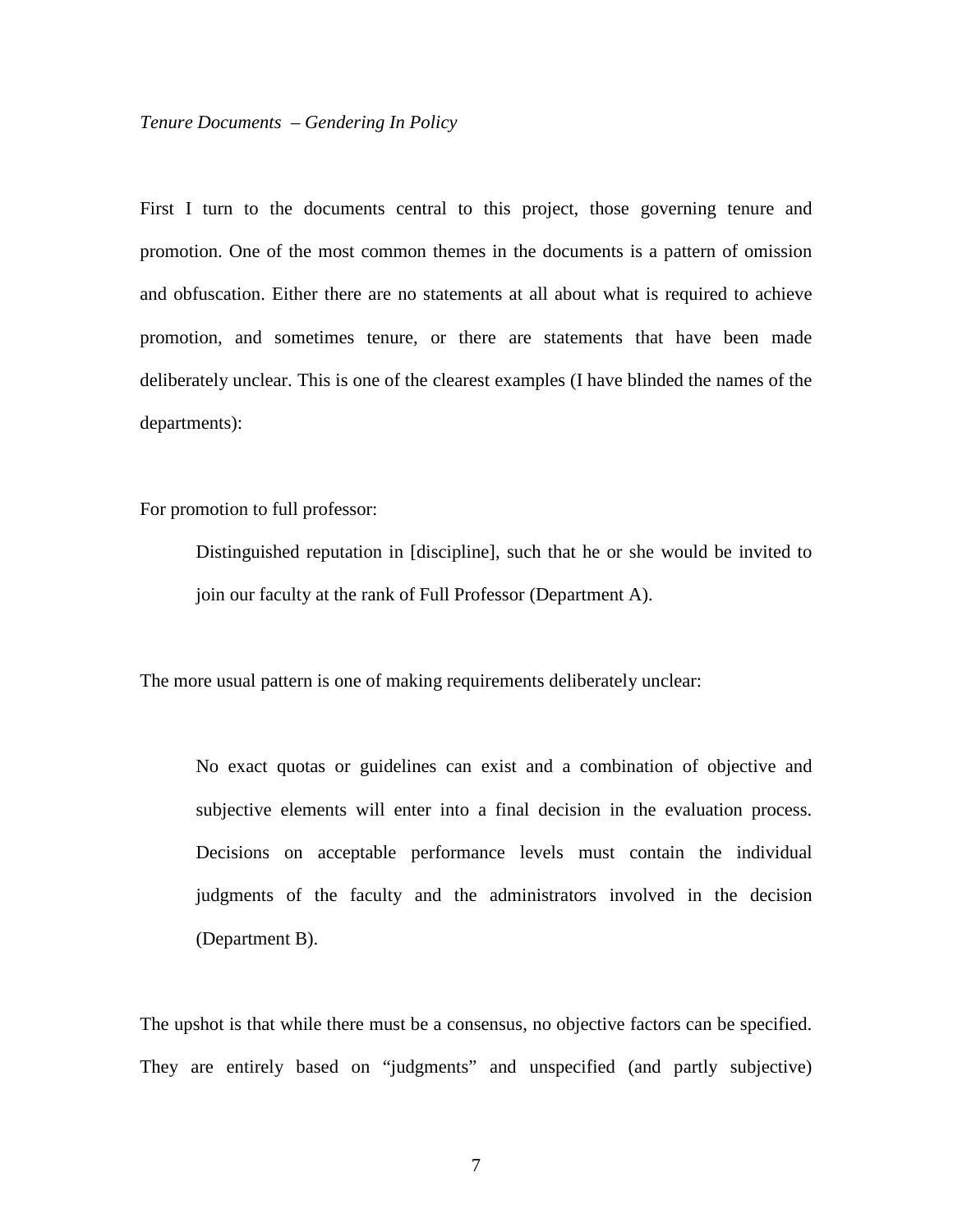### *Tenure Documents* – *Gendering In Policy*

First I turn to the documents central to this project, those governing tenure and promotion. One of the most common themes in the documents is a pattern of omission and obfuscation. Either there are no statements at all about what is required to achieve promotion, and sometimes tenure, or there are statements that have been made deliberately unclear. This is one of the clearest examples (I have blinded the names of the departments):

For promotion to full professor:

Distinguished reputation in [discipline], such that he or she would be invited to join our faculty at the rank of Full Professor (Department A).

The more usual pattern is one of making requirements deliberately unclear:

No exact quotas or guidelines can exist and a combination of objective and subjective elements will enter into a final decision in the evaluation process. Decisions on acceptable performance levels must contain the individual judgments of the faculty and the administrators involved in the decision (Department B).

The upshot is that while there must be a consensus, no objective factors can be specified. They are entirely based on "judgments" and unspecified (and partly subjective)

7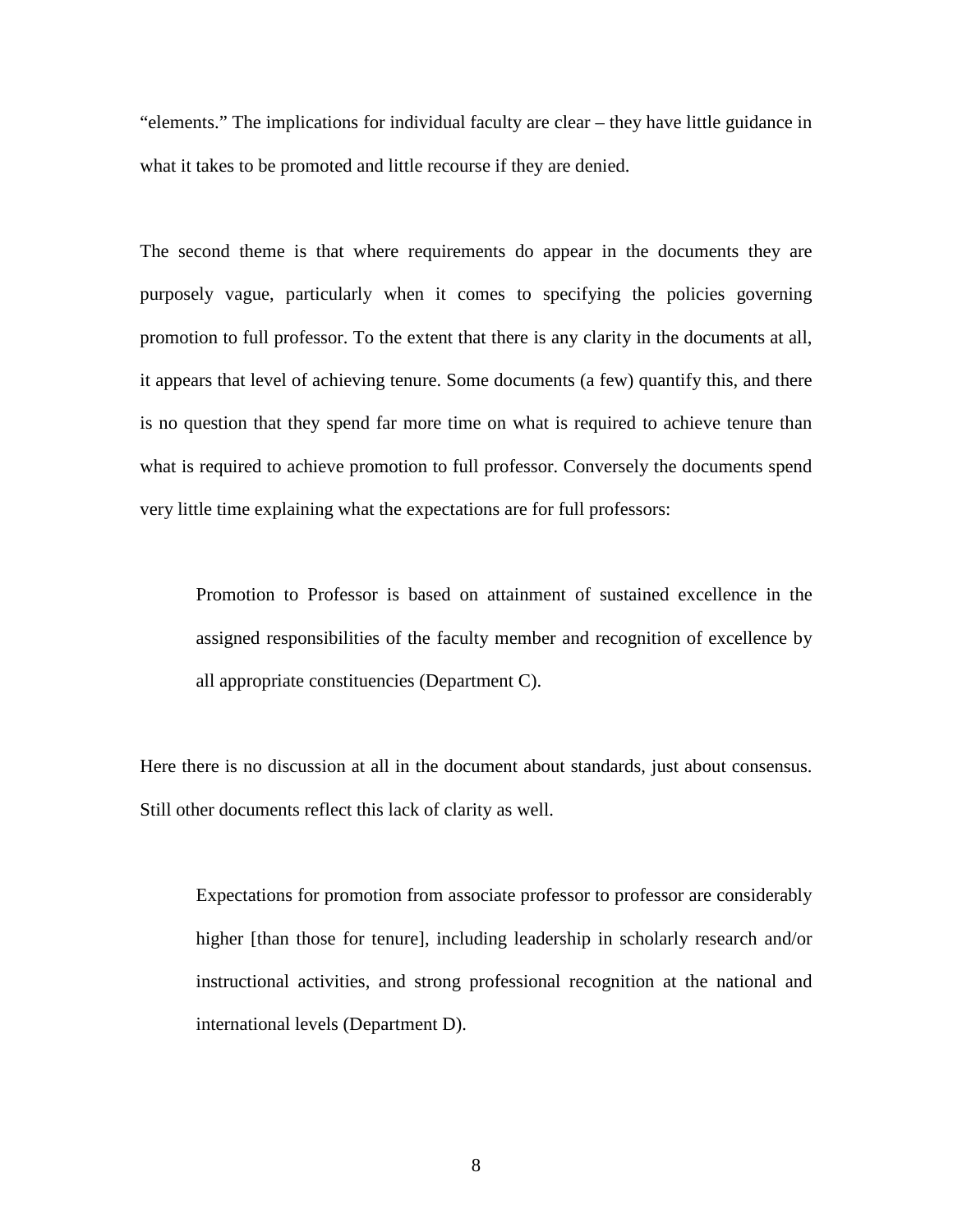"elements." The implications for individual faculty are clear – they have little guidance in what it takes to be promoted and little recourse if they are denied.

The second theme is that where requirements do appear in the documents they are purposely vague, particularly when it comes to specifying the policies governing promotion to full professor. To the extent that there is any clarity in the documents at all, it appears that level of achieving tenure. Some documents (a few) quantify this, and there is no question that they spend far more time on what is required to achieve tenure than what is required to achieve promotion to full professor. Conversely the documents spend very little time explaining what the expectations are for full professors:

Promotion to Professor is based on attainment of sustained excellence in the assigned responsibilities of the faculty member and recognition of excellence by all appropriate constituencies (Department C).

Here there is no discussion at all in the document about standards, just about consensus. Still other documents reflect this lack of clarity as well.

Expectations for promotion from associate professor to professor are considerably higher [than those for tenure], including leadership in scholarly research and/or instructional activities, and strong professional recognition at the national and international levels (Department D).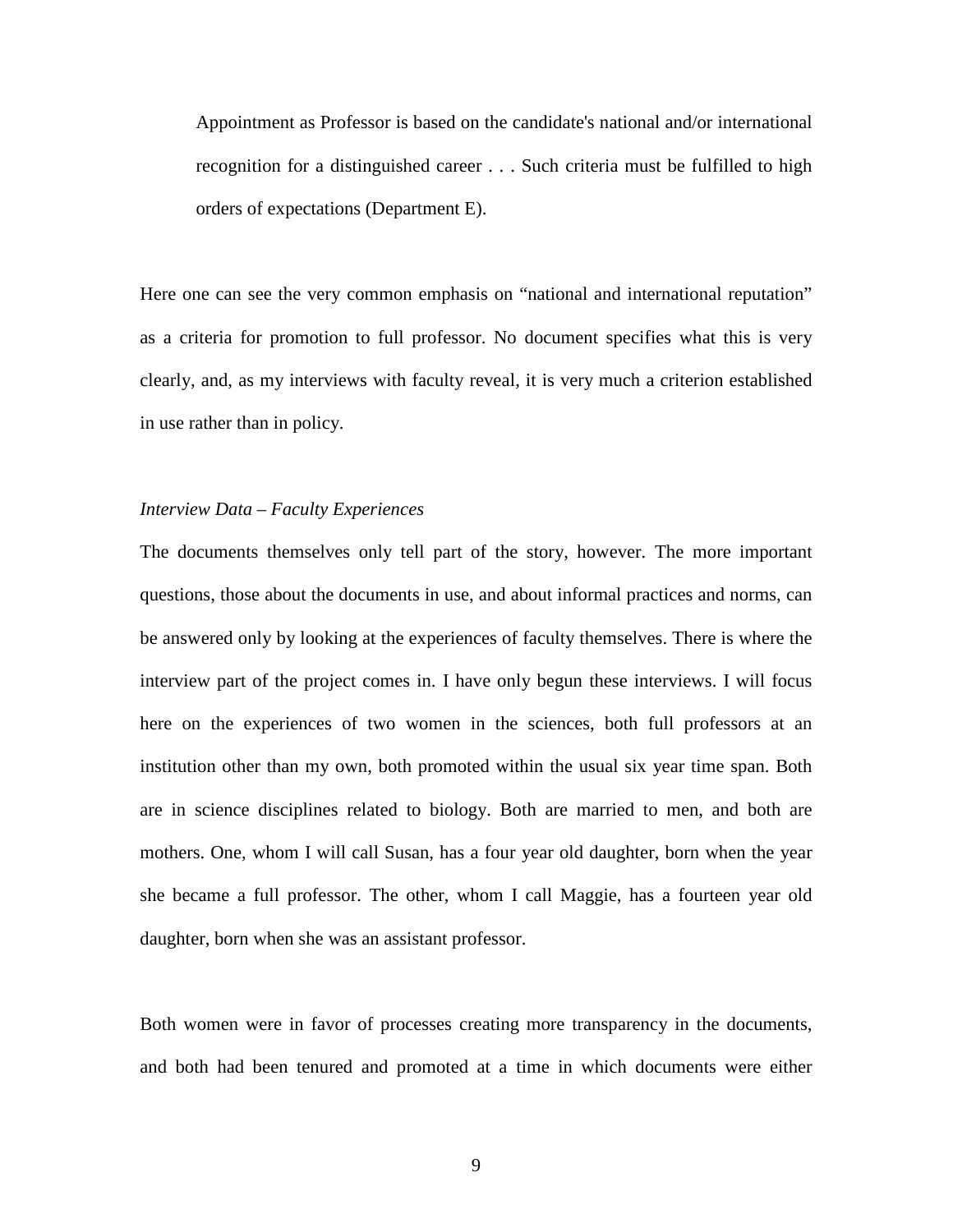Appointment as Professor is based on the candidate's national and/or international recognition for a distinguished career . . . Such criteria must be fulfilled to high orders of expectations (Department E).

Here one can see the very common emphasis on "national and international reputation" as a criteria for promotion to full professor. No document specifies what this is very clearly, and, as my interviews with faculty reveal, it is very much a criterion established in use rather than in policy.

## *Interview Data – Faculty Experiences*

The documents themselves only tell part of the story, however. The more important questions, those about the documents in use, and about informal practices and norms, can be answered only by looking at the experiences of faculty themselves. There is where the interview part of the project comes in. I have only begun these interviews. I will focus here on the experiences of two women in the sciences, both full professors at an institution other than my own, both promoted within the usual six year time span. Both are in science disciplines related to biology. Both are married to men, and both are mothers. One, whom I will call Susan, has a four year old daughter, born when the year she became a full professor. The other, whom I call Maggie, has a fourteen year old daughter, born when she was an assistant professor.

Both women were in favor of processes creating more transparency in the documents, and both had been tenured and promoted at a time in which documents were either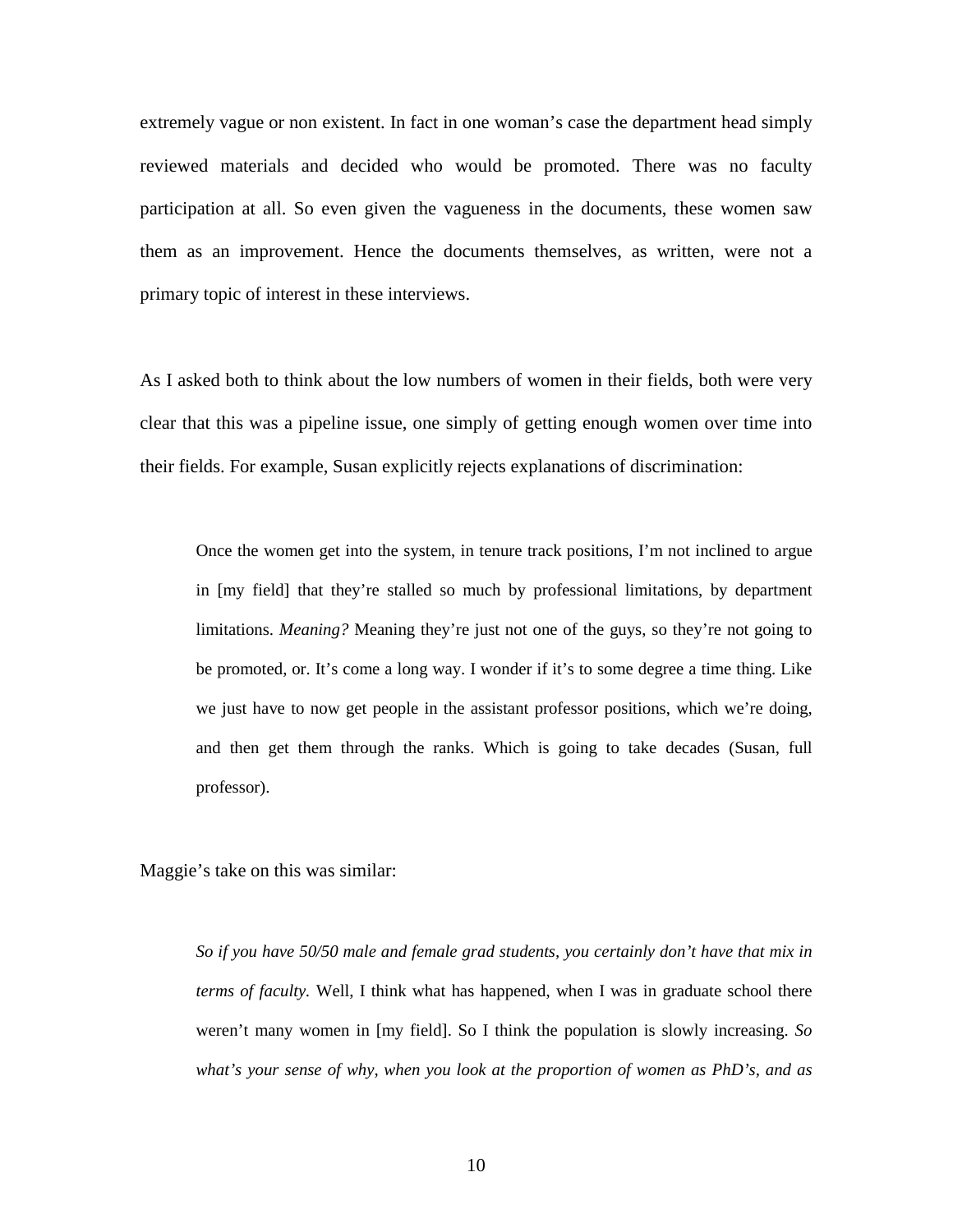extremely vague or non existent. In fact in one woman's case the department head simply reviewed materials and decided who would be promoted. There was no faculty participation at all. So even given the vagueness in the documents, these women saw them as an improvement. Hence the documents themselves, as written, were not a primary topic of interest in these interviews.

As I asked both to think about the low numbers of women in their fields, both were very clear that this was a pipeline issue, one simply of getting enough women over time into their fields. For example, Susan explicitly rejects explanations of discrimination:

Once the women get into the system, in tenure track positions, I'm not inclined to argue in [my field] that they're stalled so much by professional limitations, by department limitations. *Meaning?* Meaning they're just not one of the guys, so they're not going to be promoted, or. It's come a long way. I wonder if it's to some degree a time thing. Like we just have to now get people in the assistant professor positions, which we're doing, and then get them through the ranks. Which is going to take decades (Susan, full professor).

Maggie's take on this was similar:

*So if you have 50/50 male and female grad students, you certainly don't have that mix in terms of faculty.* Well, I think what has happened, when I was in graduate school there weren't many women in [my field]. So I think the population is slowly increasing. *So what's your sense of why, when you look at the proportion of women as PhD's, and as*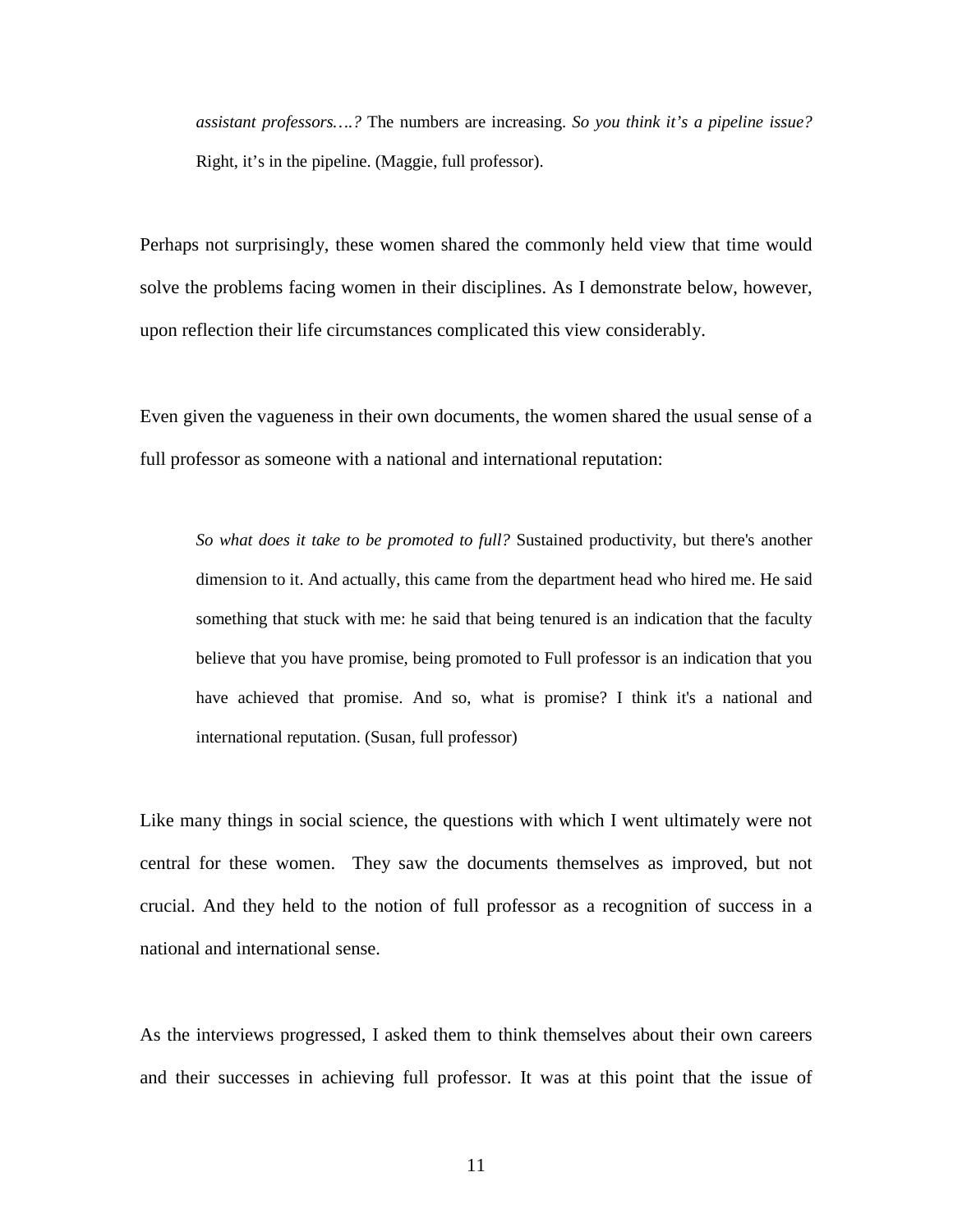*assistant professors….?* The numbers are increasing. *So you think it's a pipeline issue?*  Right, it's in the pipeline. (Maggie, full professor).

Perhaps not surprisingly, these women shared the commonly held view that time would solve the problems facing women in their disciplines. As I demonstrate below, however, upon reflection their life circumstances complicated this view considerably.

Even given the vagueness in their own documents, the women shared the usual sense of a full professor as someone with a national and international reputation:

*So what does it take to be promoted to full?* Sustained productivity, but there's another dimension to it. And actually, this came from the department head who hired me. He said something that stuck with me: he said that being tenured is an indication that the faculty believe that you have promise, being promoted to Full professor is an indication that you have achieved that promise. And so, what is promise? I think it's a national and international reputation. (Susan, full professor)

Like many things in social science, the questions with which I went ultimately were not central for these women. They saw the documents themselves as improved, but not crucial. And they held to the notion of full professor as a recognition of success in a national and international sense.

As the interviews progressed, I asked them to think themselves about their own careers and their successes in achieving full professor. It was at this point that the issue of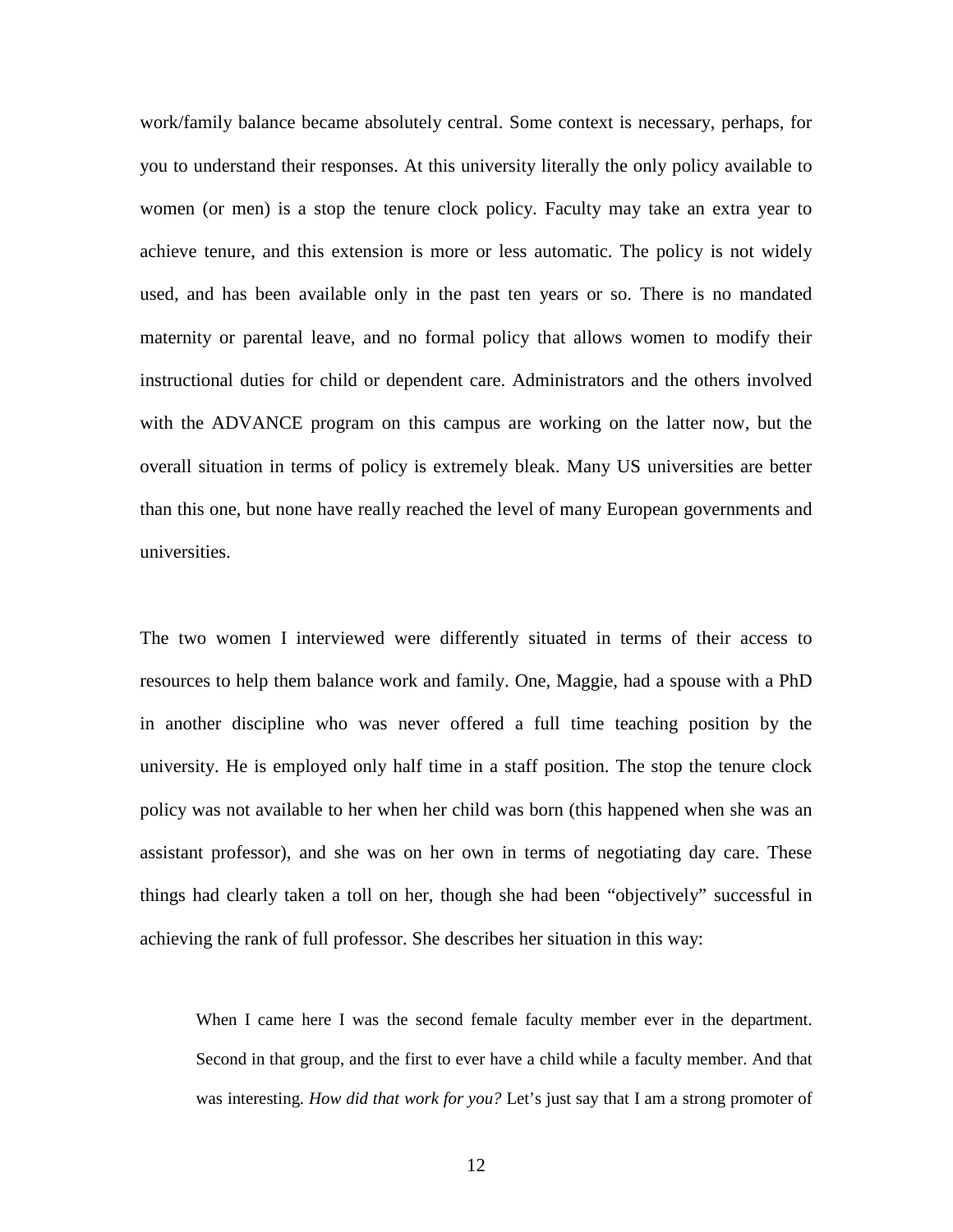work/family balance became absolutely central. Some context is necessary, perhaps, for you to understand their responses. At this university literally the only policy available to women (or men) is a stop the tenure clock policy. Faculty may take an extra year to achieve tenure, and this extension is more or less automatic. The policy is not widely used, and has been available only in the past ten years or so. There is no mandated maternity or parental leave, and no formal policy that allows women to modify their instructional duties for child or dependent care. Administrators and the others involved with the ADVANCE program on this campus are working on the latter now, but the overall situation in terms of policy is extremely bleak. Many US universities are better than this one, but none have really reached the level of many European governments and universities.

The two women I interviewed were differently situated in terms of their access to resources to help them balance work and family. One, Maggie, had a spouse with a PhD in another discipline who was never offered a full time teaching position by the university. He is employed only half time in a staff position. The stop the tenure clock policy was not available to her when her child was born (this happened when she was an assistant professor), and she was on her own in terms of negotiating day care. These things had clearly taken a toll on her, though she had been "objectively" successful in achieving the rank of full professor. She describes her situation in this way:

When I came here I was the second female faculty member ever in the department. Second in that group, and the first to ever have a child while a faculty member. And that was interesting. *How did that work for you?* Let's just say that I am a strong promoter of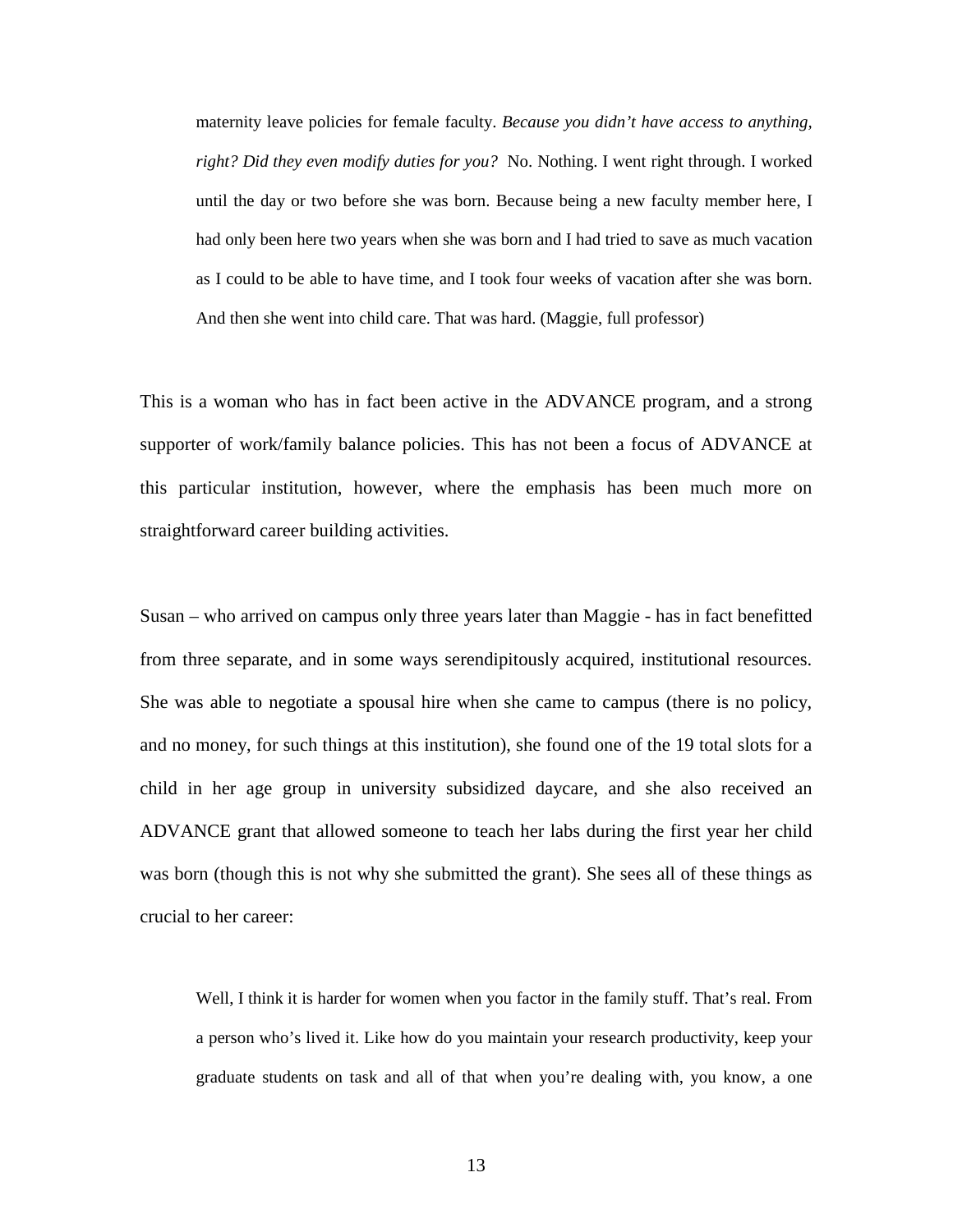maternity leave policies for female faculty. *Because you didn't have access to anything, right? Did they even modify duties for you?* No. Nothing. I went right through. I worked until the day or two before she was born. Because being a new faculty member here, I had only been here two years when she was born and I had tried to save as much vacation as I could to be able to have time, and I took four weeks of vacation after she was born. And then she went into child care. That was hard. (Maggie, full professor)

This is a woman who has in fact been active in the ADVANCE program, and a strong supporter of work/family balance policies. This has not been a focus of ADVANCE at this particular institution, however, where the emphasis has been much more on straightforward career building activities.

Susan – who arrived on campus only three years later than Maggie - has in fact benefitted from three separate, and in some ways serendipitously acquired, institutional resources. She was able to negotiate a spousal hire when she came to campus (there is no policy, and no money, for such things at this institution), she found one of the 19 total slots for a child in her age group in university subsidized daycare, and she also received an ADVANCE grant that allowed someone to teach her labs during the first year her child was born (though this is not why she submitted the grant). She sees all of these things as crucial to her career:

Well, I think it is harder for women when you factor in the family stuff. That's real. From a person who's lived it. Like how do you maintain your research productivity, keep your graduate students on task and all of that when you're dealing with, you know, a one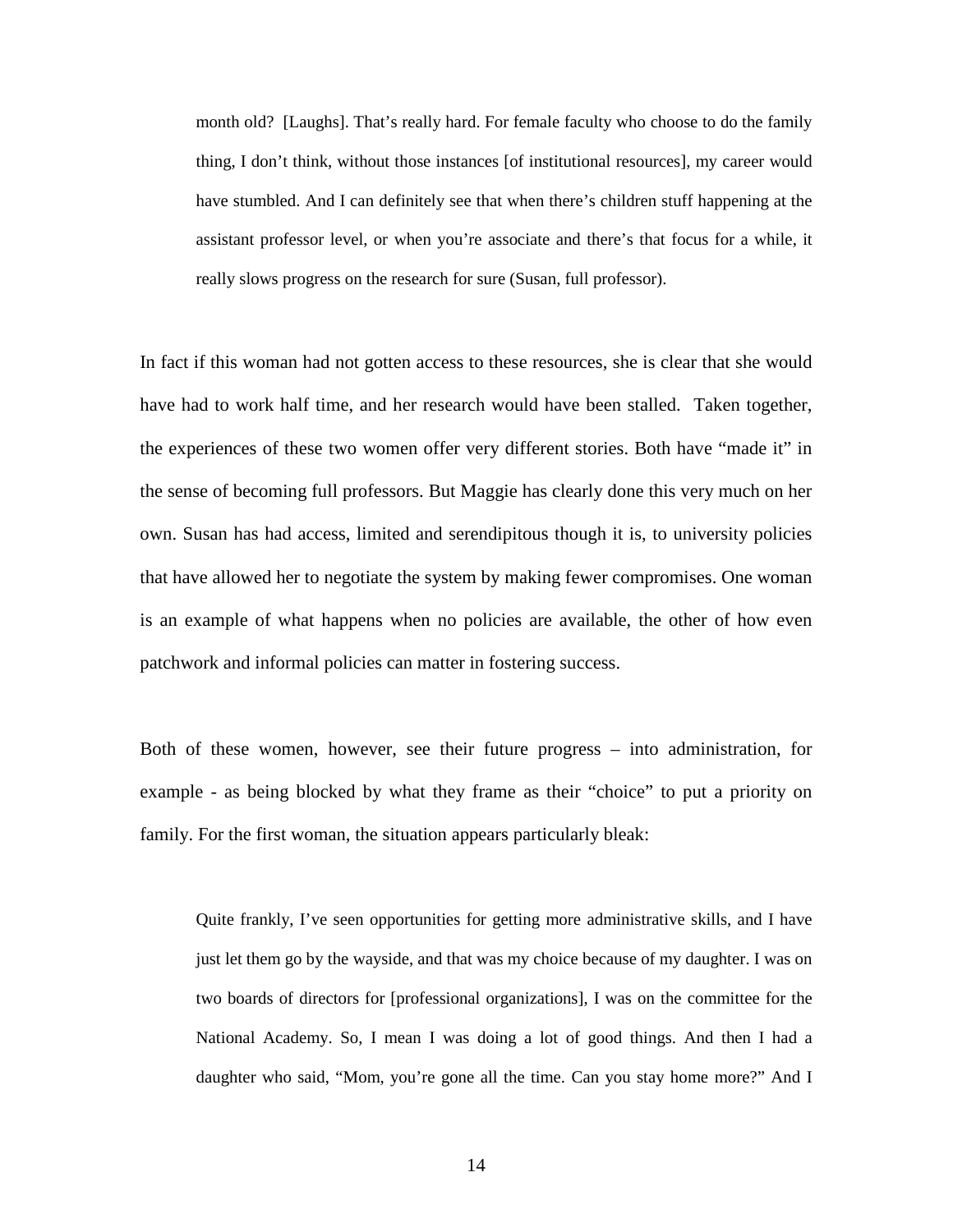month old? [Laughs]. That's really hard. For female faculty who choose to do the family thing, I don't think, without those instances [of institutional resources], my career would have stumbled. And I can definitely see that when there's children stuff happening at the assistant professor level, or when you're associate and there's that focus for a while, it really slows progress on the research for sure (Susan, full professor).

In fact if this woman had not gotten access to these resources, she is clear that she would have had to work half time, and her research would have been stalled. Taken together, the experiences of these two women offer very different stories. Both have "made it" in the sense of becoming full professors. But Maggie has clearly done this very much on her own. Susan has had access, limited and serendipitous though it is, to university policies that have allowed her to negotiate the system by making fewer compromises. One woman is an example of what happens when no policies are available, the other of how even patchwork and informal policies can matter in fostering success.

Both of these women, however, see their future progress – into administration, for example - as being blocked by what they frame as their "choice" to put a priority on family. For the first woman, the situation appears particularly bleak:

Quite frankly, I've seen opportunities for getting more administrative skills, and I have just let them go by the wayside, and that was my choice because of my daughter. I was on two boards of directors for [professional organizations], I was on the committee for the National Academy. So, I mean I was doing a lot of good things. And then I had a daughter who said, "Mom, you're gone all the time. Can you stay home more?" And I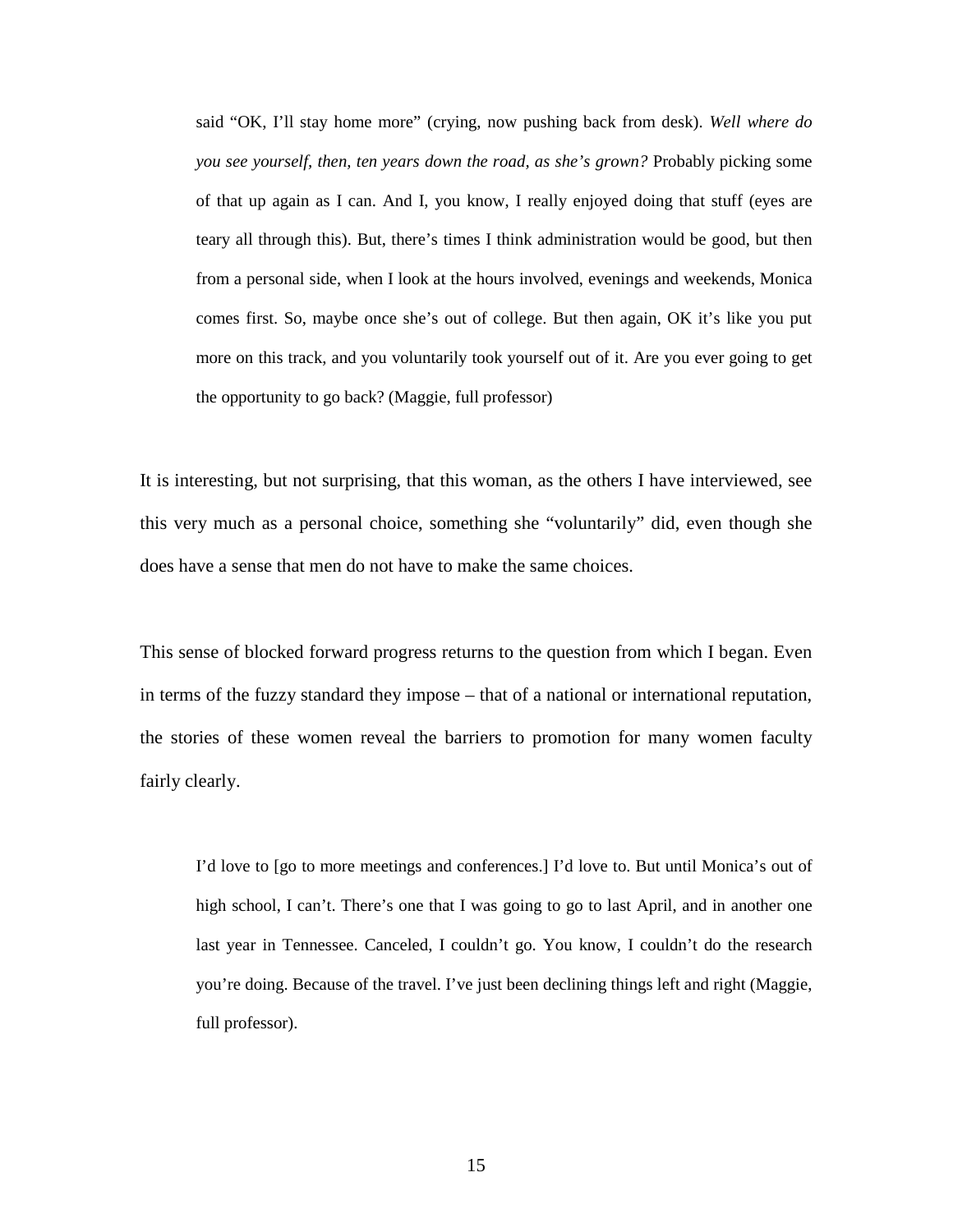said "OK, I'll stay home more" (crying, now pushing back from desk). *Well where do you see yourself, then, ten years down the road, as she's grown?* Probably picking some of that up again as I can. And I, you know, I really enjoyed doing that stuff (eyes are teary all through this). But, there's times I think administration would be good, but then from a personal side, when I look at the hours involved, evenings and weekends, Monica comes first. So, maybe once she's out of college. But then again, OK it's like you put more on this track, and you voluntarily took yourself out of it. Are you ever going to get the opportunity to go back? (Maggie, full professor)

It is interesting, but not surprising, that this woman, as the others I have interviewed, see this very much as a personal choice, something she "voluntarily" did, even though she does have a sense that men do not have to make the same choices.

This sense of blocked forward progress returns to the question from which I began. Even in terms of the fuzzy standard they impose – that of a national or international reputation, the stories of these women reveal the barriers to promotion for many women faculty fairly clearly.

I'd love to [go to more meetings and conferences.] I'd love to. But until Monica's out of high school, I can't. There's one that I was going to go to last April, and in another one last year in Tennessee. Canceled, I couldn't go. You know, I couldn't do the research you're doing. Because of the travel. I've just been declining things left and right (Maggie, full professor).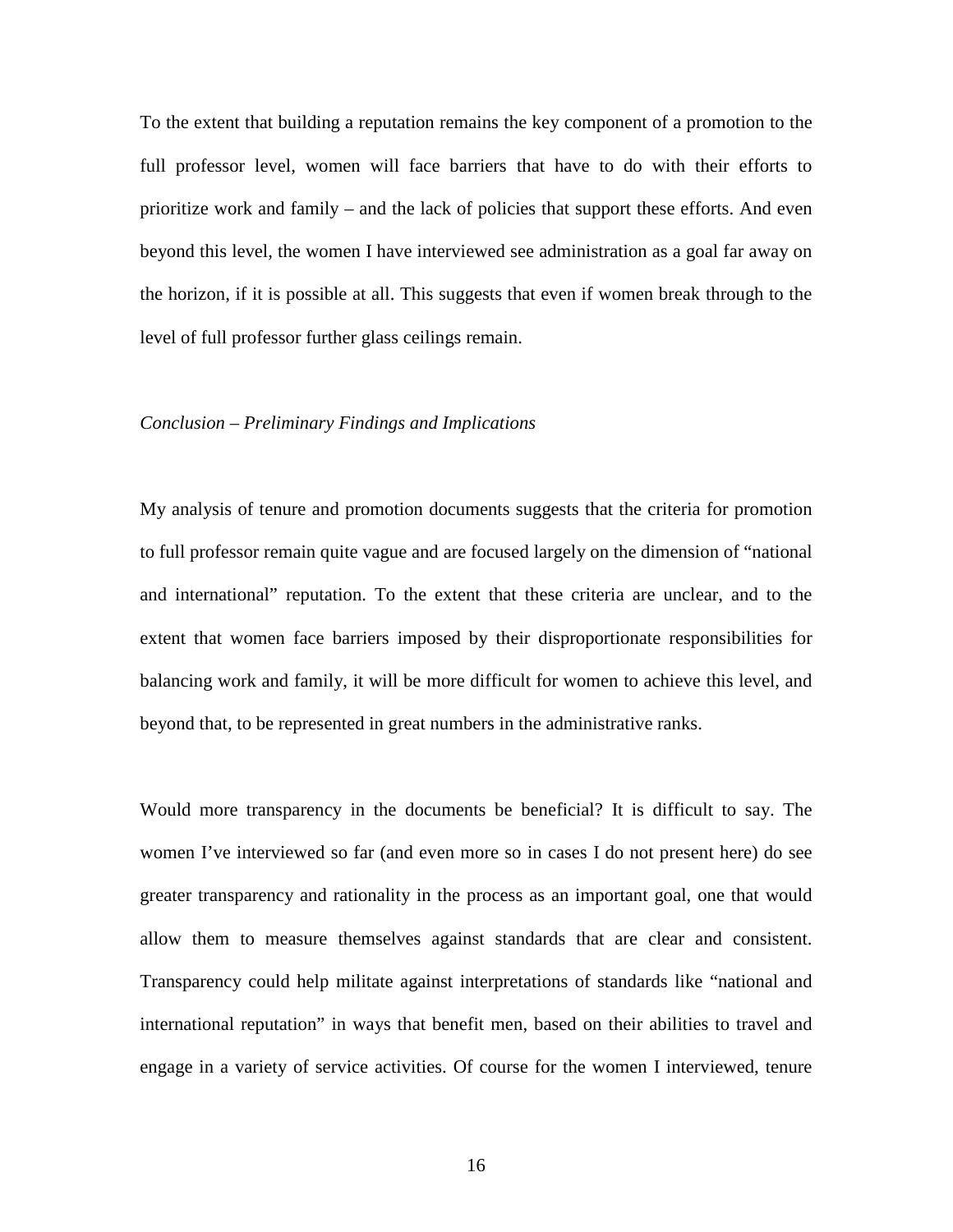To the extent that building a reputation remains the key component of a promotion to the full professor level, women will face barriers that have to do with their efforts to prioritize work and family – and the lack of policies that support these efforts. And even beyond this level, the women I have interviewed see administration as a goal far away on the horizon, if it is possible at all. This suggests that even if women break through to the level of full professor further glass ceilings remain.

# *Conclusion – Preliminary Findings and Implications*

My analysis of tenure and promotion documents suggests that the criteria for promotion to full professor remain quite vague and are focused largely on the dimension of "national and international" reputation. To the extent that these criteria are unclear, and to the extent that women face barriers imposed by their disproportionate responsibilities for balancing work and family, it will be more difficult for women to achieve this level, and beyond that, to be represented in great numbers in the administrative ranks.

Would more transparency in the documents be beneficial? It is difficult to say. The women I've interviewed so far (and even more so in cases I do not present here) do see greater transparency and rationality in the process as an important goal, one that would allow them to measure themselves against standards that are clear and consistent. Transparency could help militate against interpretations of standards like "national and international reputation" in ways that benefit men, based on their abilities to travel and engage in a variety of service activities. Of course for the women I interviewed, tenure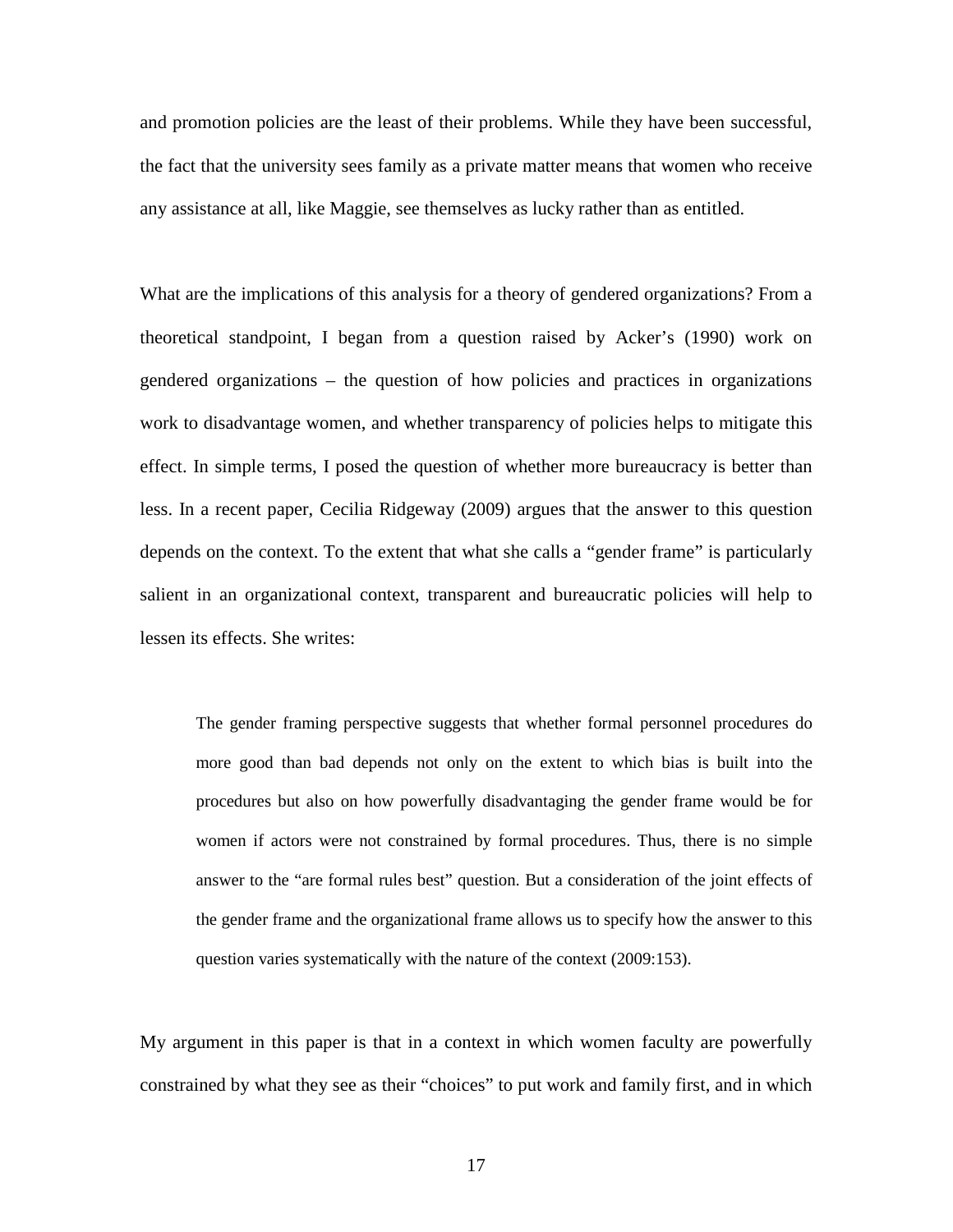and promotion policies are the least of their problems. While they have been successful, the fact that the university sees family as a private matter means that women who receive any assistance at all, like Maggie, see themselves as lucky rather than as entitled.

What are the implications of this analysis for a theory of gendered organizations? From a theoretical standpoint, I began from a question raised by Acker's (1990) work on gendered organizations – the question of how policies and practices in organizations work to disadvantage women, and whether transparency of policies helps to mitigate this effect. In simple terms, I posed the question of whether more bureaucracy is better than less. In a recent paper, Cecilia Ridgeway (2009) argues that the answer to this question depends on the context. To the extent that what she calls a "gender frame" is particularly salient in an organizational context, transparent and bureaucratic policies will help to lessen its effects. She writes:

The gender framing perspective suggests that whether formal personnel procedures do more good than bad depends not only on the extent to which bias is built into the procedures but also on how powerfully disadvantaging the gender frame would be for women if actors were not constrained by formal procedures. Thus, there is no simple answer to the "are formal rules best" question. But a consideration of the joint effects of the gender frame and the organizational frame allows us to specify how the answer to this question varies systematically with the nature of the context (2009:153).

My argument in this paper is that in a context in which women faculty are powerfully constrained by what they see as their "choices" to put work and family first, and in which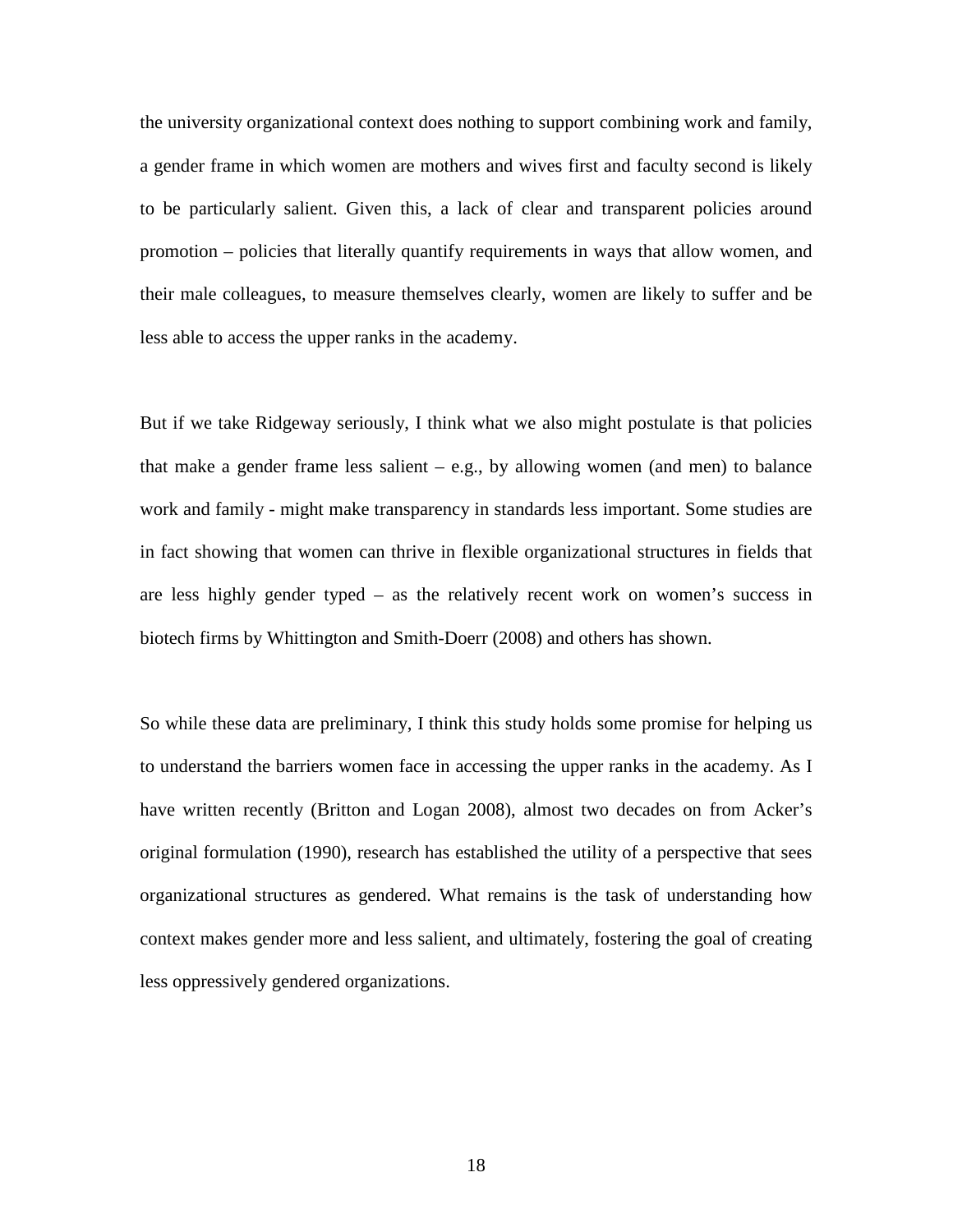the university organizational context does nothing to support combining work and family, a gender frame in which women are mothers and wives first and faculty second is likely to be particularly salient. Given this, a lack of clear and transparent policies around promotion – policies that literally quantify requirements in ways that allow women, and their male colleagues, to measure themselves clearly, women are likely to suffer and be less able to access the upper ranks in the academy.

But if we take Ridgeway seriously, I think what we also might postulate is that policies that make a gender frame less salient  $-$  e.g., by allowing women (and men) to balance work and family - might make transparency in standards less important. Some studies are in fact showing that women can thrive in flexible organizational structures in fields that are less highly gender typed – as the relatively recent work on women's success in biotech firms by Whittington and Smith-Doerr (2008) and others has shown.

So while these data are preliminary, I think this study holds some promise for helping us to understand the barriers women face in accessing the upper ranks in the academy. As I have written recently (Britton and Logan 2008), almost two decades on from Acker's original formulation (1990), research has established the utility of a perspective that sees organizational structures as gendered. What remains is the task of understanding how context makes gender more and less salient, and ultimately, fostering the goal of creating less oppressively gendered organizations.